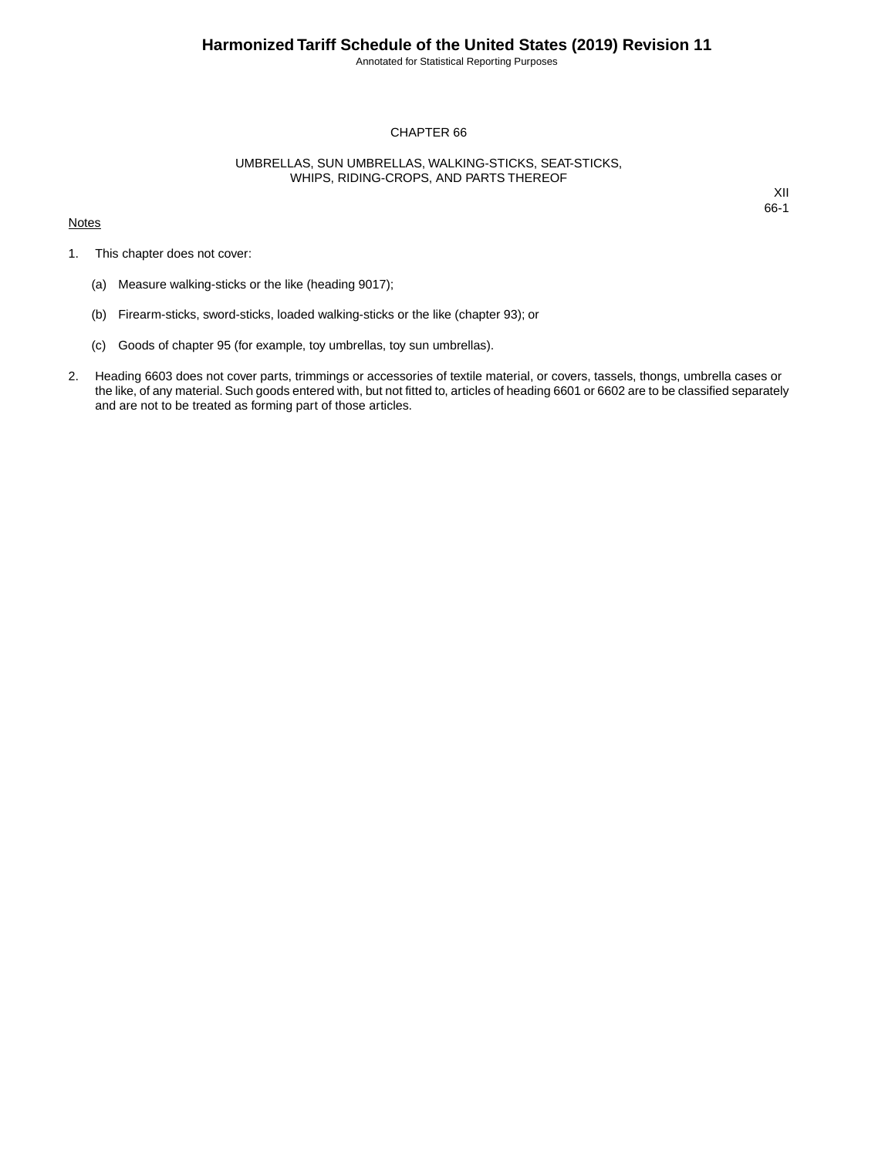Annotated for Statistical Reporting Purposes

## CHAPTER 66

## UMBRELLAS, SUN UMBRELLAS, WALKING-STICKS, SEAT-STICKS, WHIPS, RIDING-CROPS, AND PARTS THEREOF

## **Notes**

XII 66-1

- 1. This chapter does not cover:
	- (a) Measure walking-sticks or the like (heading 9017);
	- (b) Firearm-sticks, sword-sticks, loaded walking-sticks or the like (chapter 93); or
	- (c) Goods of chapter 95 (for example, toy umbrellas, toy sun umbrellas).
- 2. Heading 6603 does not cover parts, trimmings or accessories of textile material, or covers, tassels, thongs, umbrella cases or the like, of any material. Such goods entered with, but not fitted to, articles of heading 6601 or 6602 are to be classified separately and are not to be treated as forming part of those articles.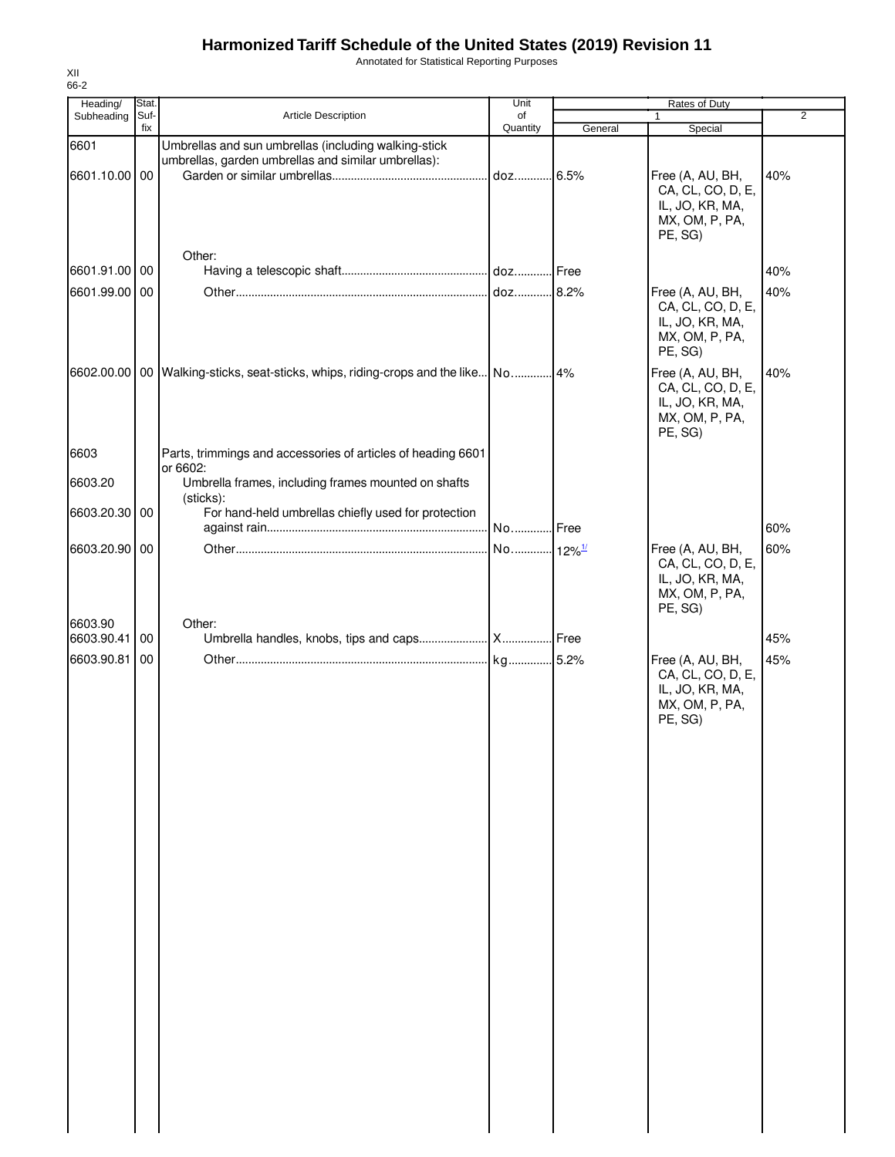## **Harmonized Tariff Schedule of the United States (2019) Revision 11**

Annotated for Statistical Reporting Purposes

| Heading/              | Stat. |                                                                                                             | Unit                 |         | Rates of Duty                                                                         |                |
|-----------------------|-------|-------------------------------------------------------------------------------------------------------------|----------------------|---------|---------------------------------------------------------------------------------------|----------------|
| Subheading            | Suf-  | Article Description                                                                                         | of                   |         |                                                                                       | $\overline{2}$ |
|                       | fix   |                                                                                                             | Quantity             | General | Special                                                                               |                |
| 6601<br>6601.10.00 00 |       | Umbrellas and sun umbrellas (including walking-stick<br>umbrellas, garden umbrellas and similar umbrellas): | doz                  | .6.5%   | Free (A, AU, BH,<br>CA, CL, CO, D, E,<br>IL, JO, KR, MA,<br>MX, OM, P, PA,<br>PE, SG) | 40%            |
|                       |       | Other:                                                                                                      |                      |         |                                                                                       |                |
| 6601.91.00            | 00    |                                                                                                             |                      |         |                                                                                       | 40%            |
| 6601.99.00 00         |       |                                                                                                             | doz 8.2%             |         | Free (A, AU, BH,<br>CA, CL, CO, D, E,<br>IL, JO, KR, MA,<br>MX, OM, P, PA,<br>PE, SG) | 40%            |
|                       |       | 6602.00.00   00   Walking-sticks, seat-sticks, whips, riding-crops and the like                             | No 4%                |         | Free (A, AU, BH,<br>CA, CL, CO, D, E,<br>IL, JO, KR, MA,<br>MX, OM, P, PA,<br>PE, SG) | 40%            |
| 6603                  |       | Parts, trimmings and accessories of articles of heading 6601                                                |                      |         |                                                                                       |                |
| 6603.20               |       | or 6602:<br>Umbrella frames, including frames mounted on shafts<br>(sticks):                                |                      |         |                                                                                       |                |
| 6603.20.30            | 00    | For hand-held umbrellas chiefly used for protection                                                         |                      |         |                                                                                       |                |
|                       |       |                                                                                                             | No Free              |         |                                                                                       | 60%            |
| 6603.20.90 00         |       |                                                                                                             | No 12% <sup>1/</sup> |         | Free (A, AU, BH,<br>CA, CL, CO, D, E,<br>IL, JO, KR, MA,<br>MX, OM, P, PA,<br>PE, SG) | 60%            |
| 6603.90               |       | Other:                                                                                                      |                      |         |                                                                                       |                |
| 6603.90.41            | 00    |                                                                                                             |                      |         |                                                                                       | 45%            |
| 6603.90.81            | 00    |                                                                                                             |                      |         | Free (A, AU, BH,<br>CA, CL, CO, D, E,<br>IL, JO, KR, MA,<br>MX, OM, P, PA,<br>PE, SG) | 45%            |
|                       |       |                                                                                                             |                      |         |                                                                                       |                |

XII 66-2